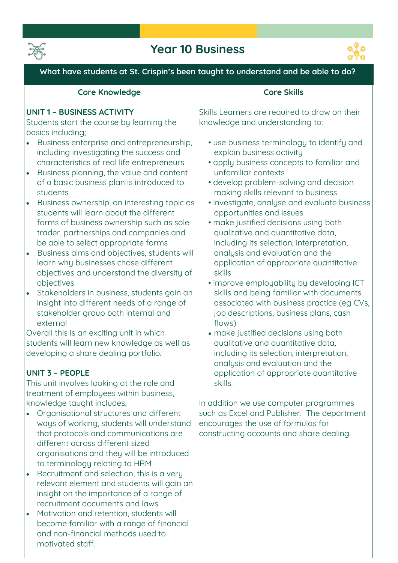

# **Year 10 Business**



**What have students at St. Crispin's been taught to understand and be able to do?**

### **Core Knowledge**

#### **UNIT 1 – BUSINESS ACTIVITY**

**Students start the course by learning the basics including;** 

- **Business enterprise and entrepreneurship, including investigating the success and characteristics of real life entrepreneurs**
- **Business planning, the value and content of a basic business plan is introduced to students**
- **Business ownership, an interesting topic as students will learn about the different forms of business ownership such as sole trader, partnerships and companies and be able to select appropriate forms**
- **Business aims and objectives, students will learn why businesses chose different objectives and understand the diversity of objectives**
- **Stakeholders in business, students gain an insight into different needs of a range of stakeholder group both internal and external**

**Overall this is an exciting unit in which students will learn new knowledge as well as developing a share dealing portfolio.**

### **UNIT 3 – PEOPLE**

**This unit involves looking at the role and treatment of employees within business, knowledge taught includes;**

- **Organisational structures and different ways of working, students will understand that protocols and communications are different across different sized organisations and they will be introduced to terminology relating to HRM**
- **Recruitment and selection, this is a very relevant element and students will gain an insight on the importance of a range of recruitment documents and laws**
- **Motivation and retention, students will become familiar with a range of financial and non-financial methods used to motivated staff.**

### **Core Skills**

**Skills Learners are required to draw on their knowledge and understanding to:** 

- **use business terminology to identify and explain business activity**
- **apply business concepts to familiar and unfamiliar contexts**
- **develop problem-solving and decision making skills relevant to business**
- **investigate, analyse and evaluate business opportunities and issues**
- **make justified decisions using both qualitative and quantitative data, including its selection, interpretation, analysis and evaluation and the application of appropriate quantitative skills**
- **• improve employability by developing ICT skills and being familiar with documents associated with business practice (eg CVs, job descriptions, business plans, cash flows)**
- **make justified decisions using both qualitative and quantitative data, including its selection, interpretation, analysis and evaluation and the application of appropriate quantitative skills.**

**In addition we use computer programmes such as Excel and Publisher. The department encourages the use of formulas for constructing accounts and share dealing.**